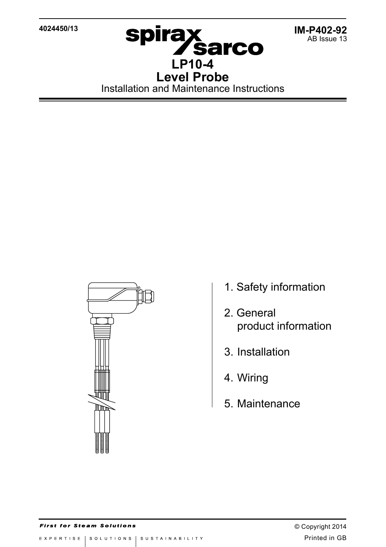**4024450/13**



**IM-P402-92** AB Issue 13

Installation and Maintenance Instructions



- 1. Safety information
- 2. General product information
- 3. Installation
- 4. Wiring
- 5. Maintenance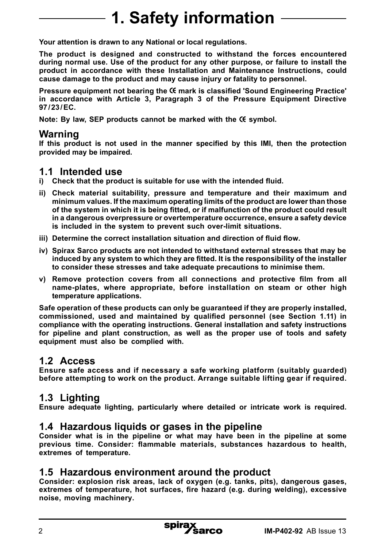# **1. Safety information**

**Your attention is drawn to any National or local regulations.**

**The product is designed and constructed to withstand the forces encountered during normal use. Use of the product for any other purpose, or failure to install the product in accordance with these Installation and Maintenance Instructions, could cause damage to the product and may cause injury or fatality to personnel.**

**Pressure equipment not bearing the mark is classified 'Sound Engineering Practice' in accordance with Article 3, Paragraph 3 of the Pressure Equipment Directive 97/23/EC.**

**Note: By law, SEP products cannot be marked with the symbol.**

### **Warning**

**If this product is not used in the manner specified by this IMI, then the protection provided may be impaired.**

#### **1.1 Intended use**

- **i) Check that the product is suitable for use with the intended fluid.**
- **ii) Check material suitability, pressure and temperature and their maximum and minimum values. If the maximum operating limits of the product are lower than those of the system in which it is being fitted, or if malfunction of the product could result in a dangerous overpressure or overtemperature occurrence, ensure a safety device is included in the system to prevent such over-limit situations.**
- **iii) Determine the correct installation situation and direction of fluid flow.**
- **iv) Spirax Sarco products are not intended to withstand external stresses that may be induced by any system to which they are fitted. It is the responsibility of the installer to consider these stresses and take adequate precautions to minimise them.**
- **v) Remove protection covers from all connections and protective film from all name-plates, where appropriate, before installation on steam or other high temperature applications.**

**Safe operation of these products can only be guaranteed if they are properly installed, commissioned, used and maintained by qualified personnel (see Section 1.11) in compliance with the operating instructions. General installation and safety instructions for pipeline and plant construction, as well as the proper use of tools and safety equipment must also be complied with.**

# **1.2 Access**

**Ensure safe access and if necessary a safe working platform (suitably guarded) before attempting to work on the product. Arrange suitable lifting gear if required.**

# **1.3 Lighting**

**Ensure adequate lighting, particularly where detailed or intricate work is required.**

## **1.4 Hazardous liquids or gases in the pipeline**

**Consider what is in the pipeline or what may have been in the pipeline at some previous time. Consider: flammable materials, substances hazardous to health, extremes of temperature.**

## **1.5 Hazardous environment around the product**

**Consider: explosion risk areas, lack of oxygen (e.g. tanks, pits), dangerous gases, extremes of temperature, hot surfaces, fire hazard (e.g. during welding), excessive noise, moving machinery.**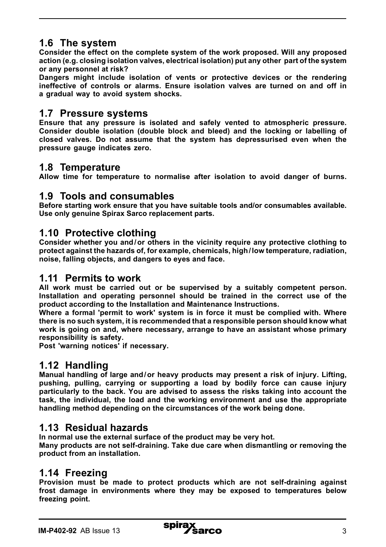# **1.6 The system**

**Consider the effect on the complete system of the work proposed. Will any proposed action (e.g. closing isolation valves, electrical isolation) put any other part of the system or any personnel at risk?** 

**Dangers might include isolation of vents or protective devices or the rendering ineffective of controls or alarms. Ensure isolation valves are turned on and off in a gradual way to avoid system shocks.**

### **1.7 Pressure systems**

**Ensure that any pressure is isolated and safely vented to atmospheric pressure. Consider double isolation (double block and bleed) and the locking or labelling of closed valves. Do not assume that the system has depressurised even when the pressure gauge indicates zero.**

# **1.8 Temperature**

**Allow time for temperature to normalise after isolation to avoid danger of burns.**

## **1.9 Tools and consumables**

**Before starting work ensure that you have suitable tools and/or consumables available. Use only genuine Spirax Sarco replacement parts.**

## **1.10 Protective clothing**

**Consider whether you and/or others in the vicinity require any protective clothing to protect against the hazards of, for example, chemicals, high/low temperature, radiation, noise, falling objects, and dangers to eyes and face.**

### **1.11 Permits to work**

**All work must be carried out or be supervised by a suitably competent person. Installation and operating personnel should be trained in the correct use of the product according to the Installation and Maintenance Instructions.**

**Where a formal 'permit to work' system is in force it must be complied with. Where there is no such system, it is recommended that a responsible person should know what work is going on and, where necessary, arrange to have an assistant whose primary responsibility is safety.**

**Post 'warning notices' if necessary.**

# **1.12 Handling**

**Manual handling of large and/or heavy products may present a risk of injury. Lifting, pushing, pulling, carrying or supporting a load by bodily force can cause injury particularly to the back. You are advised to assess the risks taking into account the task, the individual, the load and the working environment and use the appropriate handling method depending on the circumstances of the work being done.**

# **1.13 Residual hazards**

**In normal use the external surface of the product may be very hot.** 

**Many products are not self-draining. Take due care when dismantling or removing the product from an installation.**

# **1.14 Freezing**

**Provision must be made to protect products which are not self-draining against frost damage in environments where they may be exposed to temperatures below freezing point.**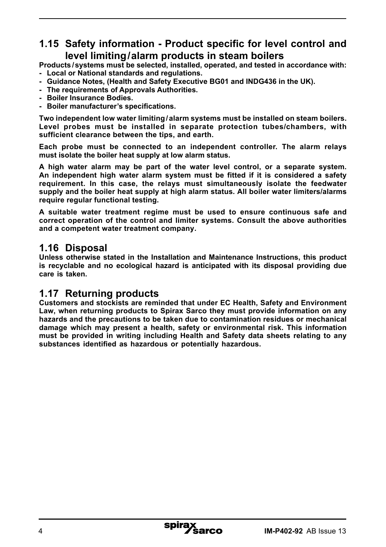# **1.15 Safety information - Product specific for level control and level limiting/alarm products in steam boilers**

**Products /systems must be selected, installed, operated, and tested in accordance with:**

- **- Local or National standards and regulations.**
- **- Guidance Notes, (Health and Safety Executive BG01 and INDG436 in the UK).**
- **- The requirements of Approvals Authorities.**
- **- Boiler Insurance Bodies.**
- **- Boiler manufacturer's specifications.**

**Two independent low water limiting/alarm systems must be installed on steam boilers. Level probes must be installed in separate protection tubes/chambers, with sufficient clearance between the tips, and earth.** 

**Each probe must be connected to an independent controller. The alarm relays must isolate the boiler heat supply at low alarm status.**

**A high water alarm may be part of the water level control, or a separate system. An independent high water alarm system must be fitted if it is considered a safety requirement. In this case, the relays must simultaneously isolate the feedwater supply and the boiler heat supply at high alarm status. All boiler water limiters/alarms require regular functional testing.** 

**A suitable water treatment regime must be used to ensure continuous safe and correct operation of the control and limiter systems. Consult the above authorities and a competent water treatment company.**

## **1.16 Disposal**

**Unless otherwise stated in the Installation and Maintenance Instructions, this product is recyclable and no ecological hazard is anticipated with its disposal providing due care is taken.**

# **1.17 Returning products**

**Customers and stockists are reminded that under EC Health, Safety and Environment Law, when returning products to Spirax Sarco they must provide information on any hazards and the precautions to be taken due to contamination residues or mechanical damage which may present a health, safety or environmental risk. This information must be provided in writing including Health and Safety data sheets relating to any substances identified as hazardous or potentially hazardous.**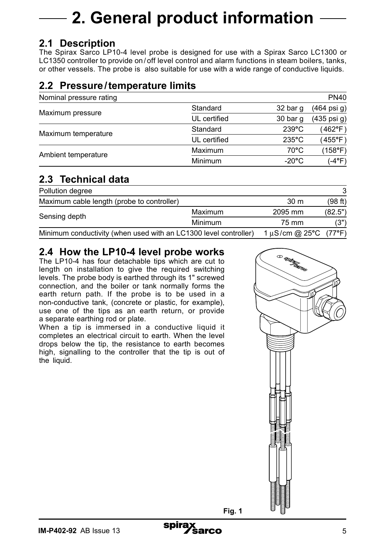# **2. General product information**

# **2.1 Description**

The Spirax Sarco LP10-4 level probe is designed for use with a Spirax Sarco LC1300 or LC1350 controller to provide on / off level control and alarm functions in steam boilers, tanks, or other vessels. The probe is also suitable for use with a wide range of conductive liquids.

# **2.2 Pressure/temperature limits**

|              |                 | <b>PN40</b> |
|--------------|-----------------|-------------|
| Standard     | 32 bar q        | (464 psi g) |
| UL certified | 30 bar g        | (435 psi g) |
| Standard     | $239^{\circ}$ C | (462°F)     |
| UL certified | $235^{\circ}$ C | (455°F)     |
| Maximum      | $70^{\circ}$ C  | (158°F)     |
| Minimum      | $-20^{\circ}$ C | (-4°F)      |
|              |                 |             |

# **2.3 Technical data**

| Pollution degree                                                 |         |                            | 3       |
|------------------------------------------------------------------|---------|----------------------------|---------|
| Maximum cable length (probe to controller)                       |         | 30 <sub>m</sub>            | (98 ft) |
| Sensing depth                                                    | Maximum | 2095 mm                    | (82.5") |
|                                                                  | Minimum | 75 mm                      | (3")    |
| Minimum conductivity (when used with an LC1300 level controller) |         | 1 $\mu$ S/cm @ 25°C (77°F) |         |

# **2.4 How the LP10-4 level probe works**

The LP10-4 has four detachable tips which are cut to length on installation to give the required switching levels. The probe body is earthed through its 1" screwed connection, and the boiler or tank normally forms the earth return path. If the probe is to be used in a non-conductive tank, (concrete or plastic, for example), use one of the tips as an earth return, or provide a separate earthing rod or plate.

When a tip is immersed in a conductive liquid it completes an electrical circuit to earth. When the level drops below the tip, the resistance to earth becomes high, signalling to the controller that the tip is out of the liquid.



**Fig. 1**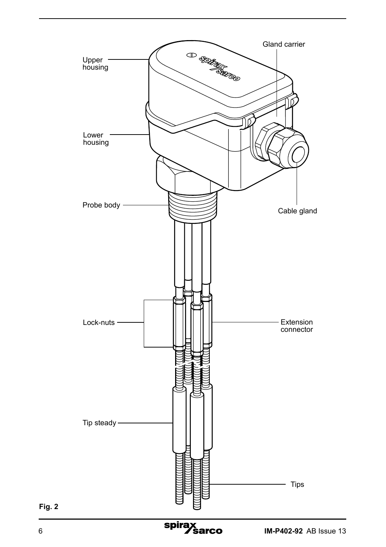

**Fig. 2**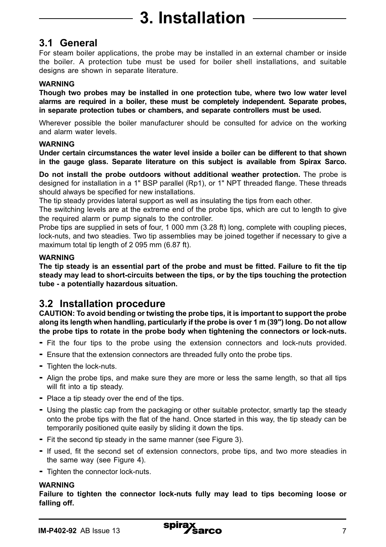# **3.1 General**

For steam boiler applications, the probe may be installed in an external chamber or inside the boiler. A protection tube must be used for boiler shell installations, and suitable designs are shown in separate literature.

#### **WARNING**

**Though two probes may be installed in one protection tube, where two low water level alarms are required in a boiler, these must be completely independent. Separate probes, in separate protection tubes or chambers, and separate controllers must be used.**

Wherever possible the boiler manufacturer should be consulted for advice on the working and alarm water levels.

#### **WARNING**

**Under certain circumstances the water level inside a boiler can be different to that shown in the gauge glass. Separate literature on this subject is available from Spirax Sarco.** 

**Do not install the probe outdoors without additional weather protection.** The probe is designed for installation in a 1" BSP parallel (Rp1), or 1" NPT threaded flange. These threads should always be specified for new installations.

The tip steady provides lateral support as well as insulating the tips from each other.

The switching levels are at the extreme end of the probe tips, which are cut to length to give the required alarm or pump signals to the controller.

Probe tips are supplied in sets of four, 1 000 mm (3.28 ft) long, complete with coupling pieces, lock-nuts, and two steadies. Two tip assemblies may be joined together if necessary to give a maximum total tip length of 2 095 mm (6.87 ft).

#### **WARNING**

**The tip steady is an essential part of the probe and must be fitted. Failure to fit the tip steady may lead to short-circuits between the tips, or by the tips touching the protection tube - a potentially hazardous situation.**

# **3.2 Installation procedure**

**CAUTION: To avoid bending or twisting the probe tips, it is important to support the probe along its length when handling, particularly if the probe is over 1 m (39") long. Do not allow the probe tips to rotate in the probe body when tightening the connectors or lock-nuts.**

- **-** Fit the four tips to the probe using the extension connectors and lock-nuts provided.
- **-** Ensure that the extension connectors are threaded fully onto the probe tips.
- **-** Tighten the lock-nuts.
- **-** Align the probe tips, and make sure they are more or less the same length, so that all tips will fit into a tip steady.
- **-** Place a tip steady over the end of the tips.
- **-** Using the plastic cap from the packaging or other suitable protector, smartly tap the steady onto the probe tips with the flat of the hand. Once started in this way, the tip steady can be temporarily positioned quite easily by sliding it down the tips.
- **-** Fit the second tip steady in the same manner (see Figure 3).
- **-** If used, fit the second set of extension connectors, probe tips, and two more steadies in the same way (see Figure 4).
- **-** Tighten the connector lock-nuts.

#### **WARNING**

**Failure to tighten the connector lock-nuts fully may lead to tips becoming loose or falling off.**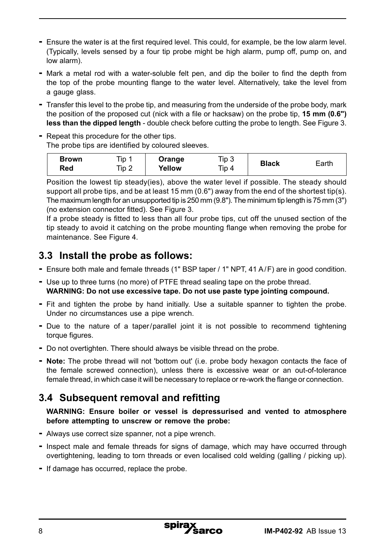- **-** Ensure the water is at the first required level. This could, for example, be the low alarm level. (Typically, levels sensed by a four tip probe might be high alarm, pump off, pump on, and low alarm).
- **-** Mark a metal rod with a water-soluble felt pen, and dip the boiler to find the depth from the top of the probe mounting flange to the water level. Alternatively, take the level from a gauge glass.
- **-** Transfer this level to the probe tip, and measuring from the underside of the probe body, mark the position of the proposed cut (nick with a file or hacksaw) on the probe tip, **15 mm (0.6") less than the dipped length** - double check before cutting the probe to length. See Figure 3.
- **-** Repeat this procedure for the other tips. The probe tips are identified by coloured sleeves.

| Brown<br>Red | Tip<br>Tip.<br>∼ | Orange<br>Yellow | Tip 3<br>Tip 4 | <b>Black</b> | Earth |
|--------------|------------------|------------------|----------------|--------------|-------|
|--------------|------------------|------------------|----------------|--------------|-------|

Position the lowest tip steady(ies), above the water level if possible. The steady should support all probe tips, and be at least 15 mm (0.6") away from the end of the shortest tip(s). The maximum length for an unsupported tip is 250 mm (9.8"). The minimum tip length is 75 mm (3") (no extension connector fitted). See Figure 3.

If a probe steady is fitted to less than all four probe tips, cut off the unused section of the tip steady to avoid it catching on the probe mounting flange when removing the probe for maintenance. See Figure 4.

# **3.3 Install the probe as follows:**

- **-** Ensure both male and female threads (1" BSP taper / 1" NPT, 41 A/F) are in good condition.
- **-** Use up to three turns (no more) of PTFE thread sealing tape on the probe thread. **WARNING: Do not use excessive tape. Do not use paste type jointing compound.**
- **-** Fit and tighten the probe by hand initially. Use a suitable spanner to tighten the probe. Under no circumstances use a pipe wrench.
- **-** Due to the nature of a taper/parallel joint it is not possible to recommend tightening torque figures.
- **-** Do not overtighten. There should always be visible thread on the probe.
- **- Note:** The probe thread will not 'bottom out' (i.e. probe body hexagon contacts the face of the female screwed connection), unless there is excessive wear or an out-of-tolerance female thread, in which case it will be necessary to replace or re-work the flange or connection.

# **3.4 Subsequent removal and refitting**

**WARNING: Ensure boiler or vessel is depressurised and vented to atmosphere before attempting to unscrew or remove the probe:**

- **-** Always use correct size spanner, not a pipe wrench.
- **-** Inspect male and female threads for signs of damage, which may have occurred through overtightening, leading to torn threads or even localised cold welding (galling / picking up).
- **-** If damage has occurred, replace the probe.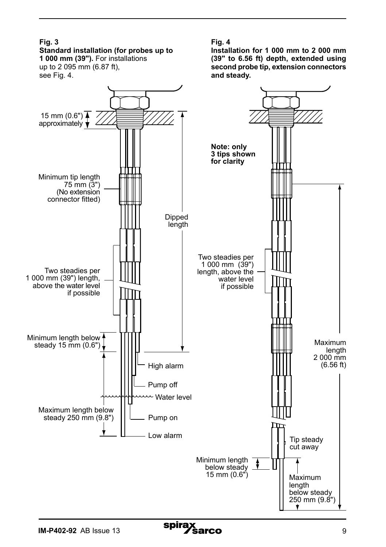#### **Fig. 3 Standard installation (for probes up to**

**1 000 mm (39").** For installations up to 2 095 mm (6.87 ft), see Fig. 4.



**Installation for 1 000 mm to 2 000 mm (39" to 6.56 ft) depth, extended using second probe tip, extension connectors and steady.**

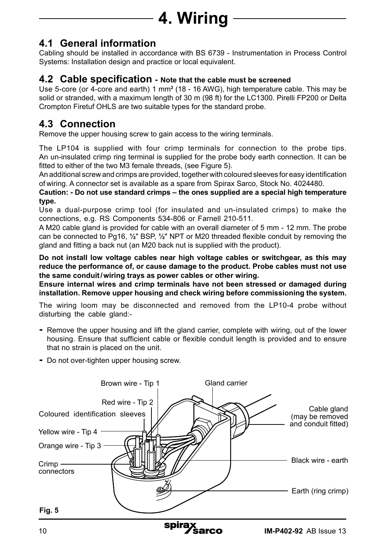# **4. Wiring**

# **4.1 General information**

Cabling should be installed in accordance with BS 6739 - Instrumentation in Process Control Systems: Installation design and practice or local equivalent.

### **4.2 Cable specification - Note that the cable must be screened**

Use 5-core (or 4-core and earth) 1 mm**<sup>2</sup>** (18 - 16 AWG), high temperature cable. This may be solid or stranded, with a maximum length of 30 m (98 ft) for the LC1300. Pirelli FP200 or Delta Crompton Firetuf OHLS are two suitable types for the standard probe.

# **4.3 Connection**

Remove the upper housing screw to gain access to the wiring terminals.

The LP104 is supplied with four crimp terminals for connection to the probe tips. An un-insulated crimp ring terminal is supplied for the probe body earth connection. It can be fitted to either of the two M3 female threads, (see Figure 5).

An additional screw and crimps are provided, together with coloured sleeves for easy identification of wiring. A connector set is available as a spare from Spirax Sarco, Stock No. 4024480.

**Caution: - Do not use standard crimps – the ones supplied are a special high temperature type.**

Use a dual-purpose crimp tool (for insulated and un-insulated crimps) to make the connections, e.g. RS Components 534-806 or Farnell 210-511.

A M20 cable gland is provided for cable with an overall diameter of 5 mm - 12 mm. The probe can be connected to Pg16, **½**" BSP, **½**" NPT or M20 threaded flexible conduit by removing the gland and fitting a back nut (an M20 back nut is supplied with the product).

**Do not install low voltage cables near high voltage cables or switchgear, as this may reduce the performance of, or cause damage to the product. Probe cables must not use the same conduit/wiring trays as power cables or other wiring.**

**Ensure internal wires and crimp terminals have not been stressed or damaged during installation. Remove upper housing and check wiring before commissioning the system.**

The wiring loom may be disconnected and removed from the LP10-4 probe without disturbing the cable gland:-

- **-** Remove the upper housing and lift the gland carrier, complete with wiring, out of the lower housing. Ensure that sufficient cable or flexible conduit length is provided and to ensure that no strain is placed on the unit.
- **-** Do not over-tighten upper housing screw.

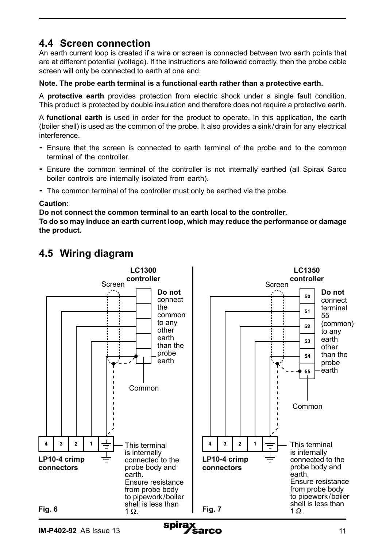# **4.4 Screen connection**

An earth current loop is created if a wire or screen is connected between two earth points that are at different potential (voltage). If the instructions are followed correctly, then the probe cable screen will only be connected to earth at one end.

#### **Note. The probe earth terminal is a functional earth rather than a protective earth.**

A **protective earth** provides protection from electric shock under a single fault condition. This product is protected by double insulation and therefore does not require a protective earth.

A **functional earth** is used in order for the product to operate. In this application, the earth (boiler shell) is used as the common of the probe. It also provides a sink/drain for any electrical interference.

- **-** Ensure that the screen is connected to earth terminal of the probe and to the common terminal of the controller.
- **-** Ensure the common terminal of the controller is not internally earthed (all Spirax Sarco boiler controls are internally isolated from earth).
- **-** The common terminal of the controller must only be earthed via the probe.

#### **Caution:**

**Do not connect the common terminal to an earth local to the controller.** 

**To do so may induce an earth current loop, which may reduce the performance or damage the product.**



# **4.5 Wiring diagram**